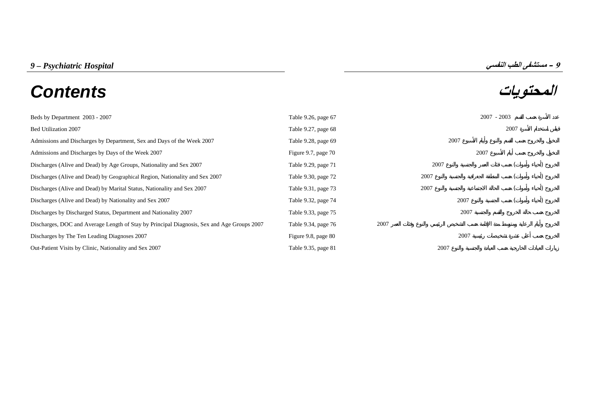| 9 – Psychiatric Hospital | ^ – مستشفى الطب النفسي |
|--------------------------|------------------------|
|--------------------------|------------------------|

# **المحتويات** *Contents*

| Beds by Department 2003 - 2007                                                             | Table 9.26, page 67 |      |      | $2007 - 2003$ |  |
|--------------------------------------------------------------------------------------------|---------------------|------|------|---------------|--|
| Bed Utilization 2007                                                                       | Table 9.27, page 68 |      |      | 2007          |  |
| Admissions and Discharges by Department, Sex and Days of the Week 2007                     | Table 9.28, page 69 |      | 2007 |               |  |
| Admissions and Discharges by Days of the Week 2007                                         | Figure 9.7, page 70 |      |      | 2007          |  |
| Discharges (Alive and Dead) by Age Groups, Nationality and Sex 2007                        | Table 9.29, page 71 |      | 2007 |               |  |
| Discharges (Alive and Dead) by Geographical Region, Nationality and Sex 2007               | Table 9.30, page 72 |      | 2007 |               |  |
| Discharges (Alive and Dead) by Marital Status, Nationality and Sex 2007                    | Table 9.31, page 73 |      | 2007 |               |  |
| Discharges (Alive and Dead) by Nationality and Sex 2007                                    | Table 9.32, page 74 |      | 2007 |               |  |
| Discharges by Discharged Status, Department and Nationality 2007                           | Table 9.33, page 75 |      | 2007 |               |  |
| Discharges, DOC and Average Length of Stay by Principal Diagnosis, Sex and Age Groups 2007 | Table 9.34, page 76 | 2007 |      |               |  |
| Discharges by The Ten Leading Diagnoses 2007                                               | Figure 9.8, page 80 |      | 2007 |               |  |
| Out-Patient Visits by Clinic, Nationality and Sex 2007                                     | Table 9.35, page 81 |      | 2007 |               |  |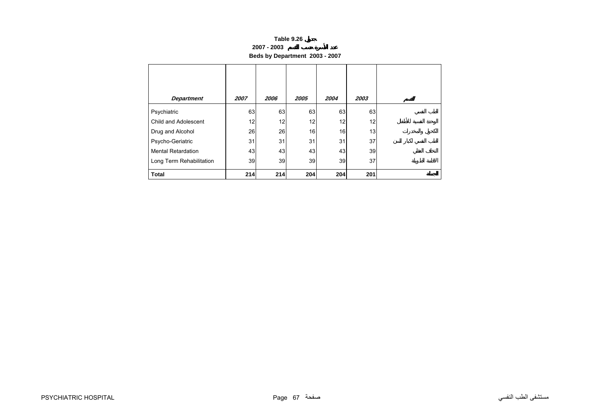#### **2007 - 2003**

**Beds by Department 2003 - 2007**

<span id="page-1-0"></span>

| <b>Department</b>         | 2007 | 2006 | 2005 | 2004 | 2003 |  |
|---------------------------|------|------|------|------|------|--|
| Psychiatric               | 63   | 63   | 63   | 63   | 63   |  |
| Child and Adolescent      | 12   | 12   | 12   | 12   | 12   |  |
| Drug and Alcohol          | 26   | 26   | 16   | 16   | 13   |  |
| Psycho-Geriatric          | 31   | 31   | 31   | 31   | 37   |  |
| <b>Mental Retardation</b> | 43   | 43   | 43   | 43   | 39   |  |
| Long Term Rehabilitation  | 39   | 39   | 39   | 39   | 37   |  |
| <b>Total</b>              | 214  | 214  | 204  | 204  | 201  |  |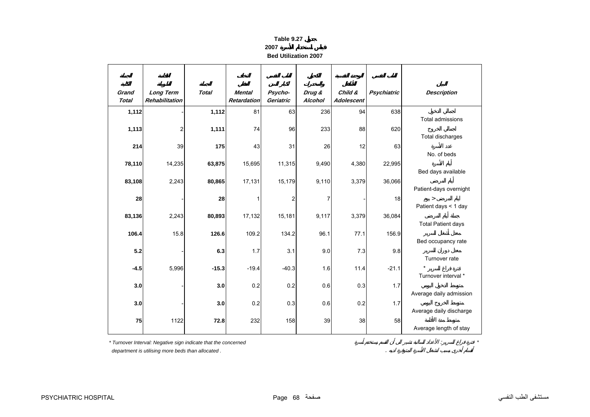#### **2007**

**Bed Utilization 2007**

<span id="page-2-0"></span>

| Grand<br><b>Total</b> | <b>Long Term</b><br>Rehabilitation | <b>Total</b> | <b>Mental</b><br><b>Retardation</b> | Psycho-<br>Geriatric | Drug &<br>Alcohol | Child &<br><b>Adolescent</b> | <b>Psychiatric</b> | <b>Description</b>        |
|-----------------------|------------------------------------|--------------|-------------------------------------|----------------------|-------------------|------------------------------|--------------------|---------------------------|
| 1,112                 |                                    | 1,112        | 81                                  | 63                   | 236               | 94                           | 638                |                           |
|                       |                                    |              |                                     |                      |                   |                              |                    | <b>Total admissions</b>   |
| 1,113                 | 2                                  | 1,111        | 74                                  | 96                   | 233               | 88                           | 620                | Total discharges          |
| 214                   | 39                                 | 175          | 43                                  | 31                   | 26                | 12                           | 63                 |                           |
|                       |                                    |              |                                     |                      |                   |                              |                    | No. of beds               |
| 78,110                | 14,235                             | 63,875       | 15,695                              | 11,315               | 9,490             | 4,380                        | 22,995             |                           |
|                       |                                    |              |                                     |                      |                   | 3,379                        |                    | Bed days available        |
| 83,108                | 2,243                              | 80,865       | 17,131                              | 15,179               | 9,110             |                              | 36,066             | Patient-days overnight    |
| 28                    |                                    | 28           |                                     | $\overline{2}$       | $\overline{7}$    |                              | 18                 | $\geq$                    |
|                       |                                    |              |                                     |                      |                   |                              |                    | Patient days < 1 day      |
| 83,136                | 2,243                              | 80,893       | 17,132                              | 15,181               | 9,117             | 3,379                        | 36,084             |                           |
| 106.4                 | 15.8                               | 126.6        | 109.2                               | 134.2                | 96.1              | 77.1                         | 156.9              | <b>Total Patient days</b> |
|                       |                                    |              |                                     |                      |                   |                              |                    | Bed occupancy rate        |
| 5.2                   |                                    | 6.3          | 1.7                                 | 3.1                  | 9.0               | 7.3                          | 9.8                |                           |
|                       |                                    |              |                                     |                      |                   |                              |                    | Turnover rate             |
| $-4.5$                | 5,996                              | $-15.3$      | $-19.4$                             | $-40.3$              | 1.6               | 11.4                         | $-21.1$            | Turnover interval *       |
| 3.0                   |                                    | 3.0          | 0.2                                 | 0.2                  | 0.6               | 0.3                          | 1.7                |                           |
|                       |                                    |              |                                     |                      |                   |                              |                    | Average daily admission   |
| 3.0                   |                                    | 3.0          | 0.2                                 | 0.3                  | 0.6               | 0.2                          | 1.7                |                           |
| 75                    | 1122                               | 72.8         | 232                                 |                      | 39                |                              | 58                 | Average daily discharge   |
|                       |                                    |              |                                     | 158                  |                   | 38                           |                    | Average length of stay    |

 *department is utilising more beds than allocated .* .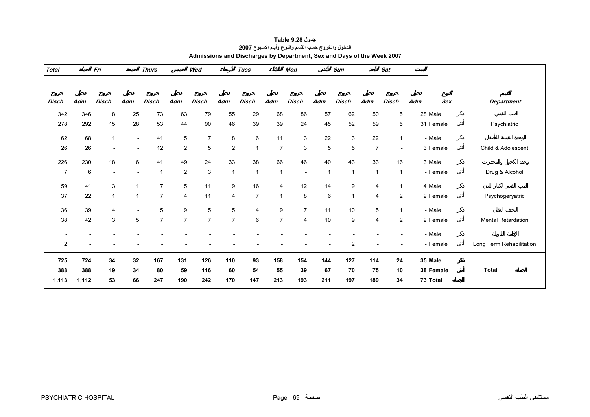<span id="page-3-0"></span>

| <b>Total</b> |       | Fri          |              | <b>Thurs</b> |                | Wed            |                | <b>Tues</b> |      | <b>Mon</b>     |      | <b>Sun</b>     |                | <b>Sat</b>     |      |            |                           |
|--------------|-------|--------------|--------------|--------------|----------------|----------------|----------------|-------------|------|----------------|------|----------------|----------------|----------------|------|------------|---------------------------|
|              |       |              |              |              |                |                |                |             |      |                |      |                |                |                |      |            |                           |
| Disch.       | Adm.  | Disch.       | Adm.         | Disch.       | Adm.           | Disch.         | Adm.           | Disch.      | Adm. | Disch.         | Adm. | Disch.         | Adm.           | Disch.         | Adm. | <b>Sex</b> | <b>Department</b>         |
| 342          | 346   | 8            | 25           | 73           | 63             | 79             | 55             | 29          | 68   | 86             | 57   | 62             | 50             | 5 <sup>1</sup> |      | 28 Male    |                           |
| 278          | 292   | 15           | 28           | 53           | 44             | 90             | 46             | 39          | 39   | 24             | 45   | 52             | 59             | 5              |      | 31 Female  | Psychiatric               |
| 62           | 68    | $\mathbf{1}$ |              | 41           | 5              | $\overline{7}$ | 8              | 6           | 11   | 3              | 22   | 3 <sup>1</sup> | 22             | 1              |      | - Male     |                           |
| 26           | 26    |              |              | 12           | $\overline{2}$ | 5              | 2              |             |      | 3              | 5    | $\mathbf 5$    | $\overline{7}$ |                |      | 3 Female   | Child & Adolescent        |
| 226          | 230   | 18           | 6            | 41           | 49             | 24             | 33             | 38          | 66   | 46             | 40   | 43             | 33             | 16             |      | 3 Male     |                           |
| 7            | 6     |              |              |              | $\overline{2}$ | 3              |                |             |      |                |      | $\overline{1}$ |                |                |      | - Female   | Drug & Alcohol            |
| 59           | 41    | 3            | $\mathbf{1}$ | 7            | 5              | 11             | 9              | 16          | 4    | 12             | 14   | 9              | 4              | 1              |      | 4 Male     |                           |
| 37           | 22    | 1            |              | 7            | Δ              | 11             |                | 7           |      | 8              | 6    | $\mathbf{1}$   | 4              | 2              |      | 2 Female   | Psychogeryatric           |
| 36           | 39    | 4            |              | 5            | 9              | 5              | 5 <sup>1</sup> |             | 9    | $\overline{7}$ | 11   | 10             | 5              |                |      | - Male     |                           |
| 38           | 42    | 3            | 5            | 7            |                | $\overline{7}$ | 7              | 6           |      |                | 10   | 9              | Δ              | c              |      | 2 Female   | <b>Mental Retardation</b> |
|              |       |              |              |              |                |                |                |             |      |                |      |                |                |                |      | - Male     |                           |
|              |       |              |              |              |                |                |                |             |      |                |      | $\overline{c}$ |                |                |      | - Female   | Long Term Rehabilitation  |
| 725          | 724   | 34           | 32           | 167          | 131            | 126            | 110            | 93          | 158  | 154            | 144  | 127            | 114            | 24             |      | 35 Male    |                           |
| 388          | 388   | 19           | 34           | 80           | 59             | 116            | 60             | 54          | 55   | 39             | 67   | 70             | 75             | 10             |      | 38 Female  | <b>Total</b>              |
| 1,113        | 1,112 | 53           | 66           | 247          | 190            | 242            | 170            | 147         | 213  | 193            | 211  | 197            | 189            | 34             |      | 73 Total   |                           |

**جدول 9.28 Table الدخول والخروج حسب القسم والنوع وأيام الأسبوع<sup>2007</sup> Admissions and Discharges by Department, Sex and Days of the Week 2007**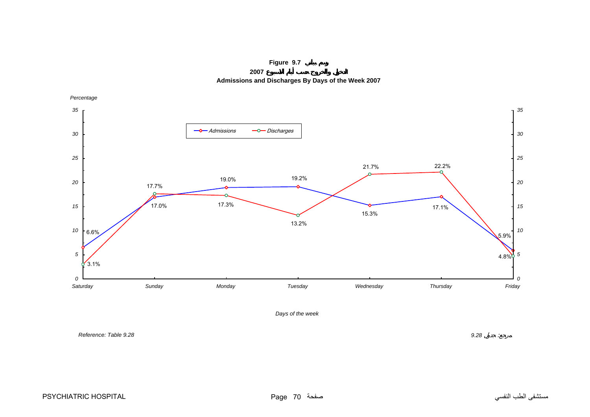**Figure 9.7**

**2007 Admissions and Discharges By Days of the Week 2007**

<span id="page-4-0"></span>

*Days of the week*

*Reference: Table 9.28*

*9.28* :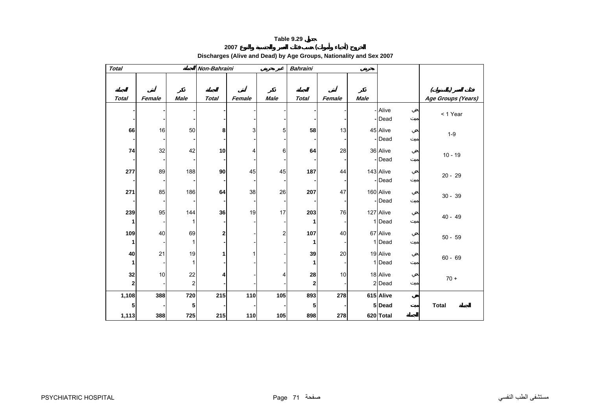#### **<sup>2007</sup> ( ) Discharges (Alive and Dead) by Age Groups, Nationality and Sex 2007**

<span id="page-5-0"></span>

| <b>Total</b>      |        |                               | Non-Bahraini |        |                | <b>Bahraini</b> |        |      |                     |                              |
|-------------------|--------|-------------------------------|--------------|--------|----------------|-----------------|--------|------|---------------------|------------------------------|
|                   |        |                               |              |        |                |                 |        |      |                     | $\left( \right)$<br>$\left($ |
| <b>Total</b>      | Female | <b>Male</b>                   | <b>Total</b> | Female | Male           | <b>Total</b>    | Female | Male |                     | Age Groups (Years)           |
|                   |        |                               |              |        |                |                 |        |      | - Alive<br>- Dead   | < 1 Year                     |
| 66                | 16     | 50                            | 8            | 3      | 5              | 58              | 13     |      | 45 Alive<br>-Dead   | $1-9$                        |
| 74                | 32     | 42                            | 10           | 4      | 6              | 64              | 28     |      | 36 Alive<br>-Dead   | $10 - 19$                    |
| 277               | 89     | 188                           | 90           | 45     | 45             | 187             | 44     |      | 143 Alive<br>- Dead | $20 - 29$                    |
| 271               | 85     | 186                           | 64           | 38     | 26             | 207             | 47     |      | 160 Alive<br>- Dead | $30 - 39$                    |
| 239<br>1          | 95     | 144<br>1                      | 36           | 19     | 17             | 203<br>1        | 76     |      | 127 Alive<br>1 Dead | $40 - 49$                    |
| 109<br>1          | 40     | 69                            | 2            |        | $\overline{c}$ | 107<br>1        | 40     |      | 67 Alive<br>1 Dead  | $50 - 59$                    |
| 40<br>1           | 21     | 19                            |              |        |                | 39              | 20     |      | 19 Alive<br>1 Dead  | $60 - 69$                    |
| 32<br>$\mathbf 2$ | 10     | 22<br>$\overline{\mathbf{c}}$ |              |        | 4              | 28<br>2         | 10     |      | 18 Alive<br>2 Dead  | $70 +$                       |
| 1,108             | 388    | 720                           | 215          | 110    | 105            | 893             | 278    |      | 615 Alive           |                              |
| 5                 |        | 5                             |              |        |                | 5               |        |      | 5 Dead<br>620 Total | <b>Total</b>                 |
| 1,113             | 388    | 725                           | 215          | 110    | 105            | 898             | 278    |      |                     |                              |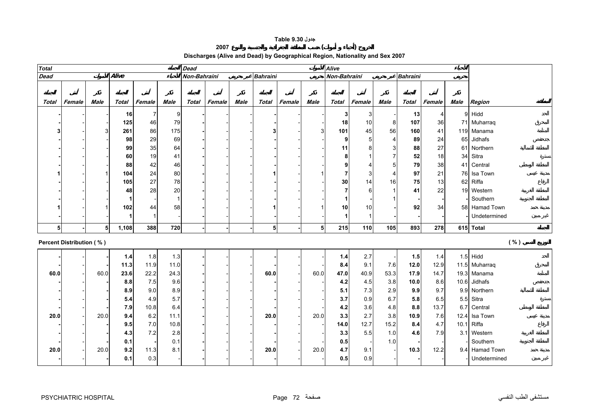#### **جدول 9.30 Table**

#### **<sup>2007</sup> ( )**

# **Discharges (Alive and Dead) by Geographical Region, Nationality and Sex 2007**

<span id="page-6-0"></span>

| <b>Total</b> |                                 |                |       |                |             | <b>Dead</b><br><b>Alive</b><br>Non-Bahraini |        |             |                 |        |             |                |                |                         |                 |        |      |                |
|--------------|---------------------------------|----------------|-------|----------------|-------------|---------------------------------------------|--------|-------------|-----------------|--------|-------------|----------------|----------------|-------------------------|-----------------|--------|------|----------------|
| Dead         |                                 |                | Alive |                |             |                                             |        |             | <b>Bahraini</b> |        |             | Non-Bahraini   |                |                         | <b>Bahraini</b> |        |      |                |
|              |                                 |                |       |                |             |                                             |        |             |                 |        |             |                |                |                         |                 |        |      |                |
|              |                                 |                |       |                |             |                                             |        |             |                 |        |             |                |                |                         |                 |        |      |                |
| <b>Total</b> | Female                          | Male           | Total | Female         | <b>Male</b> | <b>Total</b>                                | Female | <b>Male</b> | Total           | Female | <b>Male</b> | Total          | Female         | <b>Male</b>             | Total           | Female | Male | Region         |
|              |                                 |                | 16    | $\overline{7}$ | 9           |                                             |        |             |                 |        |             | 3              | 3              |                         | 13              | 4      |      | 9 Hidd         |
|              |                                 |                | 125   | 46             | 79          |                                             |        |             |                 |        |             | 18             | $10$           | 8                       | 107             | 36     |      | 71 Muharraq    |
|              |                                 |                | 261   | 86             | 175         |                                             |        |             | 3               |        | 3           | 101            | 45             | 56                      | 160             | 41     |      | 119 Manama     |
|              |                                 |                | 98    | 29             | 69          |                                             |        |             |                 |        |             | 9              | 5              | $\overline{\mathbf{4}}$ | 89              | 24     |      | 65 Jidhafs     |
|              |                                 |                | 99    | 35             | 64          |                                             |        |             |                 |        |             | 11             | 8              | 3                       | 88              | 27     |      | 61 Northern    |
|              |                                 |                | 60    | 19             | 41          |                                             |        |             |                 |        |             | 8              | $\overline{1}$ | $\overline{7}$          | 52              | 18     |      | 34 Sitra       |
|              |                                 |                | 88    | 42             | 46          |                                             |        |             |                 |        |             | 9              | $\overline{4}$ | 5                       | 79              | 38     |      | 41 Central     |
|              |                                 |                | 104   | 24             | 80          |                                             |        |             |                 |        |             | $\overline{7}$ | 3              | $\overline{4}$          | 97              | 21     |      | 76 Isa Town    |
|              |                                 |                | 105   | 27             | 78          |                                             |        |             |                 |        |             | 30             | 14             | 16                      | 75              | 13     |      | 62 Riffa       |
|              |                                 |                | 48    | 28             | $20\,$      |                                             |        |             |                 |        |             | 7              | 6              |                         | 41              | 22     |      | 19 Western     |
|              |                                 |                |       |                | -1          |                                             |        |             |                 |        |             |                |                |                         |                 |        |      | Southern       |
|              |                                 |                | 102   | 44             | 58          |                                             |        |             |                 |        |             | 10             | 10             |                         | 92              | 34     |      | 58 Hamad Town  |
|              |                                 |                |       | -1             |             |                                             |        |             |                 |        |             | 1              | $\overline{1}$ |                         |                 |        |      | Undetermined   |
|              |                                 | 5 <sup>1</sup> | 1,108 | 388            | 720         |                                             |        |             | 5               |        | 5           | 215            | 110            | 105                     | 893             | 278    |      | 615 Total      |
|              | <b>Percent Distribution (%)</b> |                |       |                |             |                                             |        |             |                 |        |             |                |                |                         |                 |        |      | ( %)           |
|              |                                 |                |       |                |             |                                             |        |             |                 |        |             |                |                |                         |                 |        |      |                |
|              |                                 |                | 1.4   | 1.8            | 1.3         |                                             |        |             |                 |        |             | 1.4            | 2.7            |                         | 1.5             | 1.4    |      | $1.5$ Hidd     |
|              |                                 |                | 11.3  | 11.9           | 11.0        |                                             |        |             |                 |        |             | 8.4            | 9.1            | 7.6                     | 12.0            | 12.9   |      | 11.5 Muharraq  |
| 60.0         |                                 | 60.0           | 23.6  | 22.2           | 24.3        |                                             |        |             | 60.0            |        | 60.0        | 47.0           | 40.9           | 53.3                    | 17.9            | 14.7   |      | 19.3 Manama    |
|              |                                 |                | 8.8   | 7.5            | 9.6         |                                             |        |             |                 |        |             | 4.2            | 4.5            | 3.8                     | 10.0            | 8.6    |      | 10.6 Jidhafs   |
|              |                                 |                | 8.9   | 9.0            | 8.9         |                                             |        |             |                 |        |             | 5.1            | 7.3            | 2.9                     | 9.9             | 9.7    |      | 9.9 Northern   |
|              |                                 |                | 5.4   | 4.9            | 5.7         |                                             |        |             |                 |        |             | 3.7            | 0.9            | 6.7                     | 5.8             | 6.5    |      | 5.5 Sitra      |
|              |                                 |                | 7.9   | 10.8           | 6.4         |                                             |        |             |                 |        |             | 4.2            | 3.6            | 4.8                     | 8.8             | 13.7   |      | 6.7 Central    |
| 20.0         |                                 | 20.0           | 9.4   | 6.2            | 11.1        |                                             |        |             | 20.0            |        | 20.0        | 3.3            | 2.7            | 3.8                     | 10.9            | 7.6    |      | 12.4 Isa Town  |
|              |                                 |                | 9.5   | 7.0            | 10.8        |                                             |        |             |                 |        |             | 14.0           | 12.7           | 15.2                    | 8.4             | 4.7    |      | 10.1 Riffa     |
|              |                                 |                | 4.3   | 7.2            | 2.8         |                                             |        |             |                 |        |             | 3.3            | 5.5            | 1.0                     | 4.6             | 7.9    |      | 3.1 Western    |
|              |                                 |                | 0.1   |                | 0.1         |                                             |        |             |                 |        |             | 0.5            |                | 1.0                     |                 |        |      | Southern       |
| 20.0         |                                 | 20.0           | 9.2   | 11.3           | 8.1         |                                             |        |             | 20.0            |        | 20.0        | 4.7            | 9.1            |                         | 10.3            | 12.2   |      | 9.4 Hamad Town |
|              |                                 |                | 0.1   | 0.3            |             |                                             |        |             |                 |        |             | 0.5            | 0.9            |                         |                 |        |      | Undetermined   |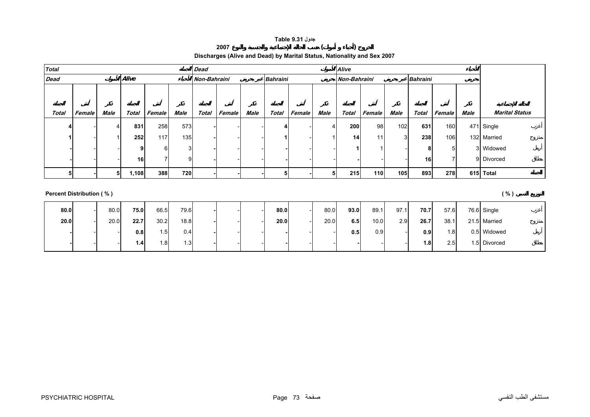#### **جدول 9.31 Table**

#### **Discharges (Alive and Dead) by Marital Status, Nationality and Sex 2007**

**<sup>2007</sup> ( )** 

<span id="page-7-0"></span>

| <b>Total</b> |        |      |       |        |      | <b>Dead</b>  |        |      |                 |        |             | <b>Alive</b>    |        |        |                 |        |      |                       |
|--------------|--------|------|-------|--------|------|--------------|--------|------|-----------------|--------|-------------|-----------------|--------|--------|-----------------|--------|------|-----------------------|
| <b>Dead</b>  |        |      | Alive |        |      | Non-Bahraini |        |      | <b>Bahraini</b> |        |             | Non-Bahraini    |        |        | <b>Bahraini</b> |        |      |                       |
|              |        |      |       |        |      |              |        |      |                 |        |             |                 |        |        |                 |        |      |                       |
|              |        |      |       |        |      |              |        |      |                 |        |             |                 |        |        |                 |        |      |                       |
| <b>Total</b> | Female | Male | Total | Female | Male | <b>Total</b> | Female | Male | <b>Total</b>    | Female | <b>Male</b> | Total           | Female | Male   | <b>Total</b>    | Female | Male | <b>Marital Status</b> |
|              |        | 4    | 831   | 258    | 573  |              |        |      |                 |        | 4           | 200             | 98     | 102    | 631             | 160    |      | 471 Single            |
|              |        |      | 252   | 117    | 135  |              |        |      |                 |        |             | 14 <sub>1</sub> | 11     | $\sim$ | 238             | 106    |      | 132 Married           |
|              |        |      | ٩     |        | ⌒    |              |        |      |                 |        |             |                 |        |        | 8               | 5      |      | 3 Widowed             |
|              |        |      | 16    |        |      |              |        |      |                 |        |             |                 |        |        | 16              | ⇁      |      | 9 Divorced            |
|              |        | 5    | 1,108 | 388    | 720  |              |        |      | 5               |        |             | 215             | 110    | 105    | 893             | 278    |      | 615 Total             |

#### **Percent Distribution ( % ) ( % )**

**80.0** - 80.0 **75.0** 66.5 79.6 **-** - - **80.0** - 80.0 **93.0** 89.1 97.1 **70.7** 57.6 76.6 Single **20.0** - 20.0 **22.7** 30.2 18.8 **-** - - **20.0** - 20.0 **6.5** 10.0 2.9 **26.7** 38.1 21.5 Married  $0.8$  1.5 0.4 **-** - - **-** - - **0.5** 0.9 - **0.9** 1.8 0.5 Widowed - - **1.4**1.8 1.3 **-** - - **-** - - **-** - - **1.8** 2.5 1.5 Divorced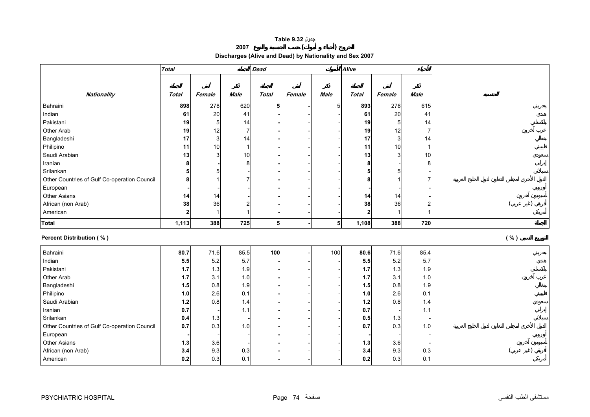#### **جدول 9.32 Table**

**<sup>2007</sup> ( )** 

**Discharges (Alive and Dead) by Nationality and Sex 2007** 

<span id="page-8-0"></span>

|                                              | <b>Total</b>   |                |                         | <b>Dead</b>    |        |                | <b>Alive</b>   |                |                |      |  |
|----------------------------------------------|----------------|----------------|-------------------------|----------------|--------|----------------|----------------|----------------|----------------|------|--|
|                                              |                |                |                         |                |        |                |                |                |                |      |  |
|                                              |                |                |                         |                |        |                |                |                |                |      |  |
| Nationality                                  | <b>Total</b>   | Female         | <b>Male</b>             | <b>Total</b>   | Female | <b>Male</b>    | <b>Total</b>   | Female         | <b>Male</b>    |      |  |
| Bahraini                                     | 898            | 278            | 620                     | 5              |        | 5              | 893            | 278            | 615            |      |  |
| Indian                                       | 61             | 20             | 41                      |                |        |                | 61             | 20             | 41             |      |  |
| Pakistani                                    | 19             | $\mathbf 5$    | 14                      |                |        |                | 19             | 5              | 14             |      |  |
| Other Arab                                   | 19             | 12             | $\overline{7}$          |                |        |                | 19             | 12             | $\overline{7}$ |      |  |
| Bangladeshi                                  | 17             | 3              | 14                      |                |        |                | 17             | 3              | 14             |      |  |
| Philipino                                    | 11             | 10             | $\mathbf{1}$            |                |        |                | 11             | 10             | 1              |      |  |
| Saudi Arabian                                | 13             | 3              | 10                      |                |        |                | 13             | 3              | 10             |      |  |
| Iranian                                      | 8              |                | 8                       |                |        |                | 8              |                | 8              |      |  |
| Srilankan                                    | 5              | 5              |                         |                |        |                | 5              | 5              |                |      |  |
| Other Countries of Gulf Co-operation Council | 8              | $\overline{1}$ | $\overline{7}$          |                |        |                | 8              |                |                |      |  |
| European                                     |                |                |                         |                |        |                |                |                |                |      |  |
| Other Asians                                 | 14             | 14             |                         |                |        |                | 14             | 14             |                |      |  |
| African (non Arab)                           | 38             | 36             | $\overline{\mathbf{c}}$ |                |        |                | 38             | 36             | 2              |      |  |
| American                                     | $\overline{2}$ | $\mathbf{1}$   | $\mathbf{1}$            |                |        |                | $\overline{2}$ | $\overline{1}$ |                |      |  |
| <b>Total</b>                                 | 1,113          | 388            | 725                     | 5 <sup>1</sup> |        | 5 <sup>1</sup> | 1,108          | 388            | 720            |      |  |
| <b>Percent Distribution (%)</b>              |                |                |                         |                |        |                |                |                |                | ( %) |  |
|                                              |                |                |                         |                |        |                |                |                |                |      |  |
| Bahraini                                     | 80.7           | 71.6           | 85.5                    | 100            |        | 100            | 80.6           | 71.6           | 85.4           |      |  |
| Indian                                       | 5.5            | 5.2            | 5.7                     |                |        |                | 5.5            | 5.2            | 5.7            |      |  |
| Pakistani                                    | 1.7            | $1.3$          | 1.9                     |                |        |                | 1.7            | 1.3            | 1.9            |      |  |
| Other Arab                                   | $1.7$          | 3.1            | 1.0                     |                |        |                | 1.7            | 3.1            | 1.0            |      |  |
| Bangladeshi                                  | 1.5            | 0.8            | 1.9                     |                |        |                | 1.5            | 0.8            | 1.9            |      |  |
| Philipino                                    | 1.0            | 2.6            | 0.1                     |                |        |                | 1.0            | 2.6            | 0.1            |      |  |
| Saudi Arabian                                | $1.2$          | 0.8            | 1.4                     |                |        |                | 1.2            | 0.8            | 1.4            |      |  |
| Iranian                                      | 0.7            |                | 1.1                     |                |        |                | 0.7            |                | 1.1            |      |  |
| Srilankan                                    | 0.4            | 1.3            |                         |                |        |                | 0.5            | 1.3            |                |      |  |
| Other Countries of Gulf Co-operation Council | 0.7            | 0.3            | 1.0                     |                |        |                | 0.7            | 0.3            | 1.0            |      |  |
| European                                     |                |                |                         |                |        |                |                |                |                |      |  |
| Other Asians                                 | 1.3            | 3.6            |                         |                |        |                | 1.3            | 3.6            |                |      |  |
| African (non Arab)                           | 3.4            | 9.3            | 0.3                     |                |        |                | 3.4            | 9.3            | 0.3            |      |  |
| American                                     | 0.2            | 0.3            | 0.1                     |                |        |                | 0.2            | 0.3            | 0.1            |      |  |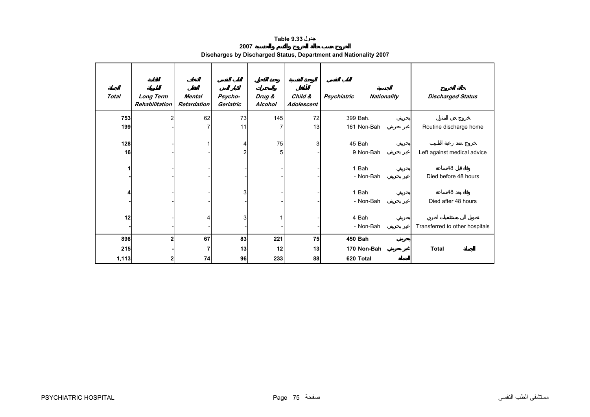# **جدول 9.33 Table**

| 2007                                                             |  |
|------------------------------------------------------------------|--|
| Discharges by Discharged Status, Department and Nationality 2007 |  |

<span id="page-9-0"></span>

| <b>Total</b> | <b>Long Term</b><br>Rehabilitation | Mental<br><b>Retardation</b> | Psycho-<br>Geriatric    | Drug &<br>Alcohol | Child &<br>Adolescent | Psychiatric | Nationality | <b>Discharged Status</b>       |
|--------------|------------------------------------|------------------------------|-------------------------|-------------------|-----------------------|-------------|-------------|--------------------------------|
| 753          | 2                                  | 62                           | 73                      | 145               | 72                    |             | 399 Bah.    |                                |
| 199          |                                    |                              | 11                      |                   | 13                    |             | 161 Non-Bah | Routine discharge home         |
| 128          |                                    |                              | 4                       | 75                | 3                     |             | 45 Bah      |                                |
| 16           |                                    |                              | $\overline{\mathbf{c}}$ | 5                 |                       |             | 9 Non-Bah   | Left against medical advice    |
| 1            |                                    |                              |                         |                   |                       |             | 1Bah        | 48                             |
|              |                                    |                              |                         |                   |                       |             | - Non-Bah   | Died before 48 hours           |
| 4            |                                    |                              | 3                       |                   |                       |             | 1 Bah       | 48                             |
|              |                                    |                              |                         |                   |                       |             | - Non-Bah   | Died after 48 hours            |
| 12           |                                    |                              | 3                       |                   |                       |             | 4 Bah       |                                |
|              |                                    |                              |                         |                   |                       |             | - Non-Bah   | Transferred to other hospitals |
| 898          | $\mathbf 2$                        | 67                           | 83                      | 221               | 75                    |             | 450 Bah     |                                |
| 215          |                                    |                              | 13                      | 12                | 13                    |             | 170 Non-Bah | <b>Total</b>                   |
| 1,113        | 2                                  | 74                           | 96                      | 233               | 88                    |             | 620 Total   |                                |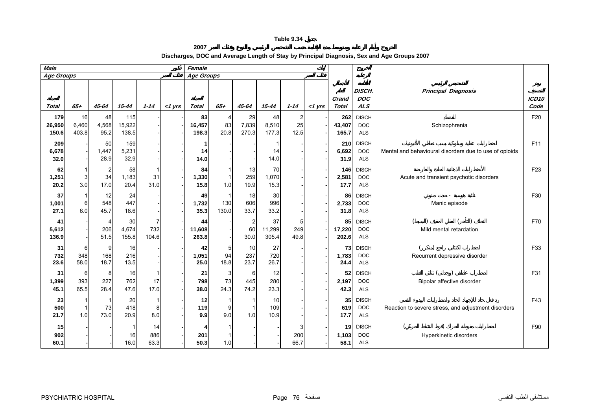**2007 Discharges, DOC and Average Length of Stay by Principal Diagnosis, Sex and Age Groups 2007**

<span id="page-10-0"></span>

| <b>Male</b>            |                                       |                     |                        |                   |           | Female                |                     |                              |                                |                              |            |                        |                                          |                                                        |                           |
|------------------------|---------------------------------------|---------------------|------------------------|-------------------|-----------|-----------------------|---------------------|------------------------------|--------------------------------|------------------------------|------------|------------------------|------------------------------------------|--------------------------------------------------------|---------------------------|
| Age Groups             |                                       |                     |                        |                   |           | <b>Age Groups</b>     |                     |                              |                                |                              |            |                        |                                          |                                                        |                           |
| <b>Total</b>           | $65 +$                                | $45 - 64$           | $15 - 44$              | $1 - 14$          | $<$ 1 yrs | <b>Total</b>          | $65 +$              | $45 - 64$                    | $15 - 44$                      | $1 - 14$                     | $<1$ $Vrs$ | Grand<br><b>Total</b>  | DISCH.<br><b>DOC</b><br><b>ALS</b>       | <b>Principal Diagnosis</b>                             | ICD <sub>10</sub><br>Code |
| 179<br>26,950<br>150.6 | 16<br>6,460<br>403.8                  | 48<br>4,568<br>95.2 | 115<br>15,922<br>138.5 |                   |           | 83<br>16,457<br>198.3 | 4<br>83<br>20.8     | 29<br>7,839<br>270.3         | 48<br>8,510<br>177.3           | $\overline{2}$<br>25<br>12.5 |            | 262<br>43,407<br>165.7 | <b>DISCH</b><br><b>DOC</b><br><b>ALS</b> | Schizophrenia                                          | F20                       |
| 209<br>6,678<br>32.0   |                                       | 50<br>1,447<br>28.9 | 159<br>5,231<br>32.9   |                   |           | 1<br>14<br>14.0       |                     |                              | 14<br>14.0                     |                              |            | 210<br>6,692<br>31.9   | <b>DISCH</b><br><b>DOC</b><br><b>ALS</b> | Mental and behavioural disorders due to use of opioids | F11                       |
| 62<br>1,251<br>20.2    | $\mathbf{1}$<br>3 <sup>1</sup><br>3.0 | 2<br>34<br>17.0     | 58<br>1,183<br>20.4    | 31<br>31.0        |           | 84<br>1,330<br>15.8   | $\mathbf{1}$<br>1.0 | 13<br>259<br>19.9            | 70<br>1,070<br>15.3            |                              |            | 146<br>2,581<br>17.7   | <b>DISCH</b><br><b>DOC</b><br><b>ALS</b> | Acute and transient psychotic disorders                | F <sub>23</sub>           |
| 37<br>1,001<br>27.1    | -1<br>6<br>6.0                        | 12<br>548<br>45.7   | 24<br>447<br>18.6      |                   |           | 49<br>1,732<br>35.3   | 1<br>130<br>130.0   | 18<br>606<br>33.7            | 30<br>996<br>33.2              |                              |            | 86<br>2,733<br>31.8    | <b>DISCH</b><br><b>DOC</b><br><b>ALS</b> | Manic episode                                          | F30                       |
| 41<br>5,612<br>136.9   |                                       | 4<br>206<br>51.5    | 30<br>4,674<br>155.8   | 732<br>104.6      |           | 44<br>11,608<br>263.8 |                     | $\overline{2}$<br>60<br>30.0 | 37<br>11,299<br>305.4          | 5<br>249<br>49.8             |            | 85<br>17,220<br>202.6  | <b>DISCH</b><br><b>DOC</b><br><b>ALS</b> | Mild mental retardation                                | F70                       |
| 31<br>732<br>23.6      | 6<br>348<br>58.0                      | 9<br>168<br>18.7    | 16<br>216<br>13.5      |                   |           | 42<br>1,051<br>25.0   | 5<br>94<br>18.8     | 10<br>237<br>23.7            | 27<br>720<br>26.7              |                              |            | 73<br>1,783<br>24.4    | <b>DISCH</b><br><b>DOC</b><br><b>ALS</b> | Recurrent depressive disorder                          | F33                       |
| 31<br>1,399<br>45.1    | 6<br>393<br>65.5                      | 8<br>227<br>28.4    | 16<br>762<br>47.6      | 17<br>17.0        |           | 21<br>798<br>38.0     | 3<br>73<br>24.3     | 6<br>445<br>74.2             | 12<br>280<br>23.3              |                              |            | 52<br>2,197<br>42.3    | <b>DISCH</b><br><b>DOC</b><br><b>ALS</b> | Bipolar affective disorder                             | F31                       |
| 23<br>500<br>21.7      | 1<br>1.0                              | -1<br>73<br>73.0    | 20<br>418<br>20.9      | 8<br>8.0          |           | 12<br>119<br>9.9      | 9<br>9.0            | 1.0                          | 10 <sup>1</sup><br>109<br>10.9 |                              |            | 35<br>619<br>17.7      | <b>DISCH</b><br><b>DOC</b><br><b>ALS</b> | Reaction to severe stress, and adjustment disorders    | F43                       |
| 15<br>902<br>60.1      |                                       |                     | 16<br>16.0             | 14<br>886<br>63.3 |           | 4<br>201<br>50.3      | 1.0                 |                              |                                | 3<br>200<br>66.7             |            | 19<br>1,103<br>58.1    | <b>DISCH</b><br><b>DOC</b><br><b>ALS</b> | Hyperkinetic disorders                                 | F90                       |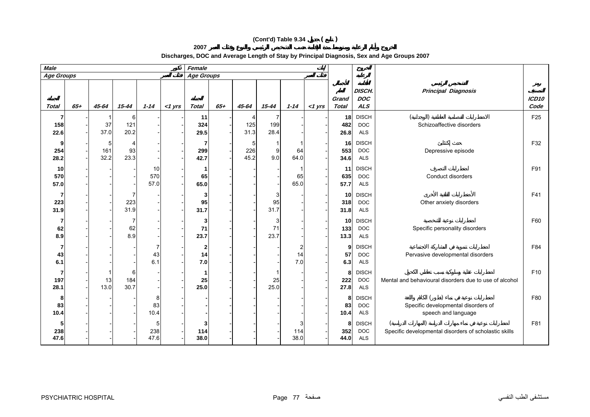# **(Cont'd) Table 9.34 ( )**

**2007**

**Discharges, DOC and Average Length of Stay by Principal Diagnosis, Sex and Age Groups 2007**

| <b>Male</b>       |        |                               |                  |                   |           | Female                    |        |                  |                 |                  |           |                       |                                          |                                                            |                           |
|-------------------|--------|-------------------------------|------------------|-------------------|-----------|---------------------------|--------|------------------|-----------------|------------------|-----------|-----------------------|------------------------------------------|------------------------------------------------------------|---------------------------|
| <b>Age Groups</b> |        |                               |                  |                   |           | <b>Age Groups</b>         |        |                  |                 |                  |           |                       |                                          |                                                            |                           |
| <b>Total</b>      | $65 +$ | 45-64                         | $15 - 44$        | $1 - 14$          | $<$ 1 yrs | <b>Total</b>              | $65 +$ | 45-64            | $15 - 44$       | $1 - 14$         | $<$ 1 yrs | Grand<br><b>Total</b> | DISCH.<br><b>DOC</b><br><b>ALS</b>       | <b>Principal Diagnosis</b>                                 | ICD <sub>10</sub><br>Code |
| 158<br>22.6       |        | 37<br>37.0                    | 6<br>121<br>20.2 |                   |           | 11<br>324<br>29.5         |        | 4<br>125<br>31.3 | 199<br>28.4     |                  |           | 18<br>482<br>26.8     | <b>DISCH</b><br><b>DOC</b><br><b>ALS</b> | Schizoaffective disorders                                  |                           |
| 254<br>28.2       |        | 5 <sub>5</sub><br>161<br>32.2 | 4<br>93<br>23.3  |                   |           | 7<br>299<br>42.7          |        | 5<br>226<br>45.2 | 9<br>9.0        | 64<br>64.0       |           | 16<br>553<br>34.6     | <b>DISCH</b><br><b>DOC</b><br><b>ALS</b> | Depressive episode                                         |                           |
| 10<br>570<br>57.0 |        |                               |                  | 10<br>570<br>57.0 |           | 65<br>65.0                |        |                  |                 | 65<br>65.0       |           | 11<br>635<br>57.7     | <b>DISCH</b><br><b>DOC</b><br><b>ALS</b> | Conduct disorders                                          | F91                       |
| 223<br>31.9       |        |                               | 223<br>31.9      |                   |           | 3<br>95<br>31.7           |        |                  | 3<br>95<br>31.7 |                  |           | 10<br>318<br>31.8     | <b>DISCH</b><br><b>DOC</b><br><b>ALS</b> | Other anxiety disorders                                    | F41                       |
| 62<br>8.9         |        |                               | 62<br>8.9        |                   |           | 3<br>71<br>23.7           |        |                  | 3<br>71<br>23.7 |                  |           | 10<br>133<br>13.3     | <b>DISCH</b><br><b>DOC</b><br><b>ALS</b> | Specific personality disorders                             | F60                       |
| 43<br>6.1         |        |                               |                  | 43<br>6.1         |           | $\mathbf{2}$<br>14<br>7.0 |        |                  |                 | 2<br>14<br>7.0   |           | 9<br>57<br>6.3        | <b>DISCH</b><br><b>DOC</b><br><b>ALS</b> | Pervasive developmental disorders                          |                           |
| 197<br>28.1       |        | 13<br>13.0                    | 6<br>184<br>30.7 |                   |           | 25<br>25.0                |        |                  | 25<br>25.0      |                  |           | 8<br>222<br>27.8      | <b>DISCH</b><br><b>DOC</b><br><b>ALS</b> | Mental and behavioural disorders due to use of alcohol     |                           |
| 8<br>83<br>10.4   |        |                               |                  | 8<br>83<br>10.4   |           |                           |        |                  |                 |                  |           | 8<br>83<br>10.4       | <b>DISCH</b><br><b>DOC</b><br><b>ALS</b> | Specific developmental disorders of<br>speech and language |                           |
| 238<br>47.6       |        |                               |                  | 5<br>238<br>47.6  |           | 3<br>114<br>38.0          |        |                  |                 | 3<br>114<br>38.0 |           | 8<br>352<br>44.0      | <b>DISCH</b><br><b>DOC</b><br><b>ALS</b> | Specific developmental disorders of scholastic skills      | F81                       |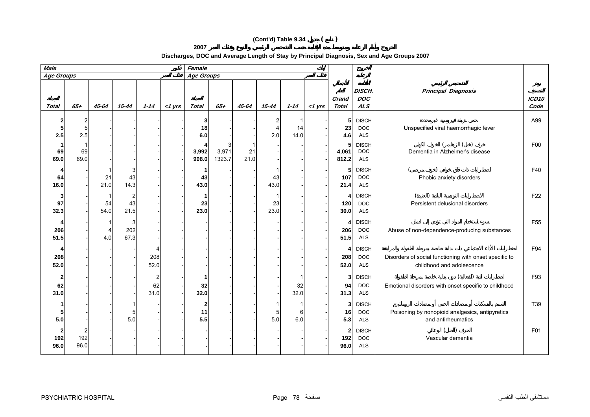# **(Cont'd) Table 9.34 ( )**

**2007**

| <b>Male</b>       |               |            |                  |                              |           | Female           |                 |            |            |            |           |                                        |                                          |                                                                                     |                 |
|-------------------|---------------|------------|------------------|------------------------------|-----------|------------------|-----------------|------------|------------|------------|-----------|----------------------------------------|------------------------------------------|-------------------------------------------------------------------------------------|-----------------|
| <b>Age Groups</b> |               |            |                  |                              |           | Age Groups       |                 |            |            |            |           |                                        |                                          |                                                                                     |                 |
| <b>Total</b>      | $65 +$        | 45-64      | $15 - 44$        | $1 - 14$                     | $<$ 1 yrs | <b>Total</b>     | $65 +$          | 45-64      | 15-44      | $1 - 14$   | $<$ 1 yrs | Grand<br><b>Total</b>                  | DISCH.<br><b>DOC</b><br>ALS              | <b>Principal Diagnosis</b>                                                          | ICD10<br>Code   |
| 5<br>2.5          | 2<br>5<br>2.5 |            |                  |                              |           | 3<br>18<br>6.0   |                 |            | 4<br>2.0   | 14<br>14.0 |           | 5<br>23<br>4.6                         | <b>DISCH</b><br><b>DOC</b><br><b>ALS</b> | Unspecified viral haemorrhagic fever                                                | A99             |
| 69<br>69.0        | 69<br>69.0    |            |                  |                              |           | 3,992<br>998.0   | 3,971<br>1323.7 | 21<br>21.0 |            |            |           | 5<br>4,061<br>812.2                    | <b>DISCH</b><br><b>DOC</b><br><b>ALS</b> | Dementia in Alzheimer's disease                                                     | F <sub>00</sub> |
| 64<br>16.0        |               | 21<br>21.0 | 3<br>43<br>14.3  |                              |           | -1<br>43<br>43.0 |                 |            | 43<br>43.0 |            |           | 5<br>107<br>21.4                       | <b>DISCH</b><br><b>DOC</b><br><b>ALS</b> | Phobic anxiety disorders                                                            | F40             |
| 97<br>32.3        |               | 54<br>54.0 | 43<br>21.5       |                              |           | -1<br>23<br>23.0 |                 |            | 23<br>23.0 |            |           | 4<br>120<br>30.0                       | <b>DISCH</b><br><b>DOC</b><br><b>ALS</b> | Persistent delusional disorders                                                     | F22             |
| 206<br>51.5       |               | 4<br>4.0   | 3<br>202<br>67.3 |                              |           |                  |                 |            |            |            |           | 4<br>206<br>51.5                       | <b>DISCH</b><br><b>DOC</b><br><b>ALS</b> | Abuse of non-dependence-producing substances                                        | F <sub>55</sub> |
| 208<br>52.0       |               |            |                  | 208<br>52.0                  |           |                  |                 |            |            |            |           | 4<br>208<br>52.0                       | <b>DISCH</b><br><b>DOC</b><br>ALS        | Disorders of social functioning with onset specific to<br>childhood and adolescence | F94             |
| 62<br>31.0        |               |            |                  | $\overline{2}$<br>62<br>31.0 |           | 32<br>32.0       |                 |            |            | 32<br>32.0 |           | 3<br>94<br>31.3                        | <b>DISCH</b><br><b>DOC</b><br><b>ALS</b> | Emotional disorders with onset specific to childhood                                | F93             |
| 5<br>5.0          |               |            | 5<br>5.0         |                              |           | 2<br>11<br>5.5   |                 |            | 5<br>5.0   | 6<br>6.0   |           | 3<br>16<br>5.3                         | <b>DISCH</b><br><b>DOC</b><br><b>ALS</b> | Poisoning by nonopioid analgesics, antipyretics<br>and antirheumatics               | T39             |
| 2<br>192<br>96.0  | 192<br>96.0   |            |                  |                              |           |                  |                 |            |            |            |           | $\overline{\mathbf{2}}$<br>192<br>96.0 | <b>DISCH</b><br>DOC<br><b>ALS</b>        | Vascular dementia                                                                   | F01             |

**Discharges, DOC and Average Length of Stay by Principal Diagnosis, Sex and Age Groups 2007**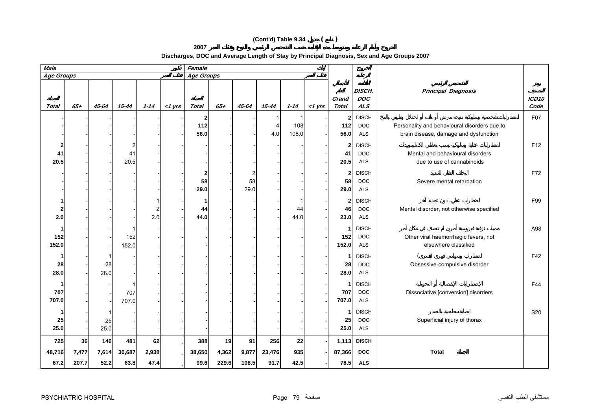# **(Cont'd) Table 9.34 ( )**

**2007**

**Discharges, DOC and Average Length of Stay by Principal Diagnosis, Sex and Age Groups 2007**

| _____                                                                                      |  |
|--------------------------------------------------------------------------------------------|--|
| Discharges, DOC and Average Length of Stay by Principal Diagnosis, Sex and Age Groups 2007 |  |

| <b>Male</b>       |        |       |           |          |           | Female            |        |         |           |          |           |                       |                             |                                              |                 |
|-------------------|--------|-------|-----------|----------|-----------|-------------------|--------|---------|-----------|----------|-----------|-----------------------|-----------------------------|----------------------------------------------|-----------------|
| <b>Age Groups</b> |        |       |           |          |           | <b>Age Groups</b> |        |         |           |          |           |                       |                             |                                              |                 |
| Total             | $65 +$ | 45-64 | $15 - 44$ | $1 - 14$ | $<$ 1 yrs | Total             | $65 +$ | 45-64   | $15 - 44$ | $1 - 14$ | $<$ 1 yrs | Grand<br><b>Total</b> | DISCH.<br><b>DOC</b><br>ALS | <b>Principal Diagnosis</b>                   | ICD10<br>Code   |
|                   |        |       |           |          |           | 2                 |        |         |           |          |           | $\mathbf{2}$          | <b>DISCH</b>                |                                              | F07             |
|                   |        |       |           |          |           | 112               |        |         | 4         | 108      |           | 112                   | <b>DOC</b>                  | Personality and behavioural disorders due to |                 |
|                   |        |       |           |          |           | 56.0              |        |         | 4.0       | 108.0    |           | 56.0                  | <b>ALS</b>                  | brain disease, damage and dysfunction        |                 |
| $\mathbf{z}$      |        |       | 2         |          |           |                   |        |         |           |          |           | $\mathbf{2}$          | <b>DISCH</b>                |                                              | F <sub>12</sub> |
| 41                |        |       | 41        |          |           |                   |        |         |           |          |           | 41                    | <b>DOC</b>                  | Mental and behavioural disorders             |                 |
| 20.5              |        |       | 20.5      |          |           |                   |        |         |           |          |           | 20.5                  | <b>ALS</b>                  | due to use of cannabinoids                   |                 |
|                   |        |       |           |          |           |                   |        |         |           |          |           |                       |                             |                                              |                 |
|                   |        |       |           |          |           | 2<br>58           |        | 2<br>58 |           |          |           | $\mathbf{2}$<br>58    | <b>DISCH</b><br><b>DOC</b>  | Severe mental retardation                    | F72             |
|                   |        |       |           |          |           | 29.0              |        | 29.0    |           |          |           | 29.0                  | <b>ALS</b>                  |                                              |                 |
|                   |        |       |           |          |           |                   |        |         |           |          |           |                       |                             |                                              |                 |
|                   |        |       |           |          |           | 1                 |        |         |           | -1       |           | $\mathbf{2}$          | <b>DISCH</b>                |                                              | F99             |
| 2                 |        |       |           | 2        |           | 44                |        |         |           | 44       |           | 46                    | <b>DOC</b>                  | Mental disorder, not otherwise specified     |                 |
| 2.0               |        |       |           | 2.0      |           | 44.0              |        |         |           | 44.0     |           | 23.0                  | ALS                         |                                              |                 |
| 1                 |        |       |           |          |           |                   |        |         |           |          |           | 1                     | <b>DISCH</b>                |                                              | A98             |
| 152               |        |       | 152       |          |           |                   |        |         |           |          |           | 152                   | <b>DOC</b>                  | Other viral haemorrhagic fevers, not         |                 |
| 152.0             |        |       | 152.0     |          |           |                   |        |         |           |          |           | 152.0                 | <b>ALS</b>                  | elsewhere classified                         |                 |
| 1                 |        | 1     |           |          |           |                   |        |         |           |          |           | 1                     | <b>DISCH</b>                |                                              | F42             |
| 28                |        | 28    |           |          |           |                   |        |         |           |          |           | 28                    | <b>DOC</b>                  | Obsessive-compulsive disorder                |                 |
| 28.0              |        | 28.0  |           |          |           |                   |        |         |           |          |           | 28.0                  | <b>ALS</b>                  |                                              |                 |
| -1                |        |       |           |          |           |                   |        |         |           |          |           | $\mathbf{1}$          | <b>DISCH</b>                |                                              | F44             |
| 707               |        |       | 707       |          |           |                   |        |         |           |          |           | 707                   | <b>DOC</b>                  | Dissociative [conversion] disorders          |                 |
| 707.0             |        |       | 707.0     |          |           |                   |        |         |           |          |           | 707.0                 | <b>ALS</b>                  |                                              |                 |
|                   |        | 1     |           |          |           |                   |        |         |           |          |           | 1                     | <b>DISCH</b>                |                                              | S20             |
| 25                |        | 25    |           |          |           |                   |        |         |           |          |           | 25                    | <b>DOC</b>                  | Superficial injury of thorax                 |                 |
| 25.0              |        | 25.0  |           |          |           |                   |        |         |           |          |           | 25.0                  | ALS                         |                                              |                 |
| 725               | 36     | 146   | 481       | 62       |           | 388               | 19     | 91      | 256       | 22       |           | 1,113                 | <b>DISCH</b>                |                                              |                 |
| 48,716            | 7,477  | 7,614 | 30,687    | 2,938    |           | 38,650            | 4,362  | 9,877   | 23,476    | 935      |           | 87,366                | <b>DOC</b>                  | <b>Total</b>                                 |                 |
| 67.2              | 207.7  | 52.2  | 63.8      | 47.4     |           | 99.6              | 229.6  | 108.5   | 91.7      | 42.5     |           | 78.5                  | <b>ALS</b>                  |                                              |                 |
|                   |        |       |           |          |           |                   |        |         |           |          |           |                       |                             |                                              |                 |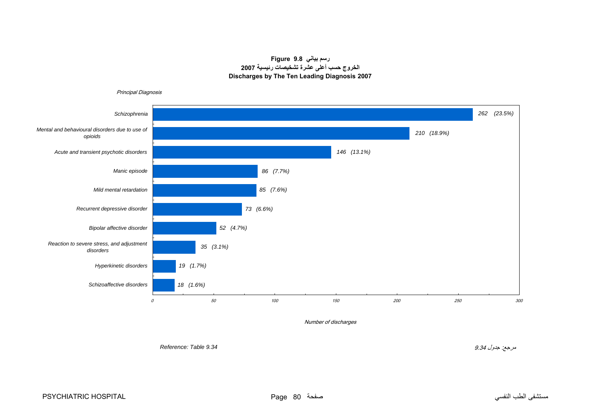# **رسم بياني 9.8 Figure الخروج حسب أعلى عشرة تشخيصات رئيسية <sup>2007</sup> Discharges by The Ten Leading Diagnosis 2007**

<span id="page-14-0"></span>